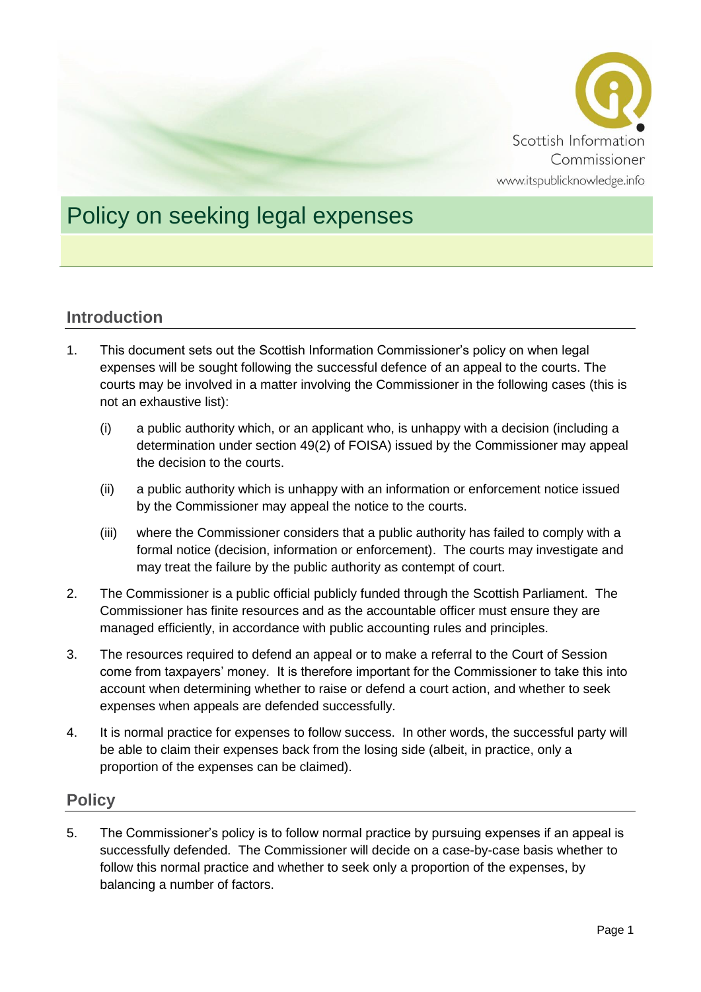

# Policy on seeking legal expenses

## **Introduction**

- 1. This document sets out the Scottish Information Commissioner's policy on when legal expenses will be sought following the successful defence of an appeal to the courts. The courts may be involved in a matter involving the Commissioner in the following cases (this is not an exhaustive list):
	- (i) a public authority which, or an applicant who, is unhappy with a decision (including a determination under section 49(2) of FOISA) issued by the Commissioner may appeal the decision to the courts.
	- (ii) a public authority which is unhappy with an information or enforcement notice issued by the Commissioner may appeal the notice to the courts.
	- (iii) where the Commissioner considers that a public authority has failed to comply with a formal notice (decision, information or enforcement). The courts may investigate and may treat the failure by the public authority as contempt of court.
- 2. The Commissioner is a public official publicly funded through the Scottish Parliament. The Commissioner has finite resources and as the accountable officer must ensure they are managed efficiently, in accordance with public accounting rules and principles.
- 3. The resources required to defend an appeal or to make a referral to the Court of Session come from taxpayers' money. It is therefore important for the Commissioner to take this into account when determining whether to raise or defend a court action, and whether to seek expenses when appeals are defended successfully.
- 4. It is normal practice for expenses to follow success. In other words, the successful party will be able to claim their expenses back from the losing side (albeit, in practice, only a proportion of the expenses can be claimed).

### **Policy**

5. The Commissioner's policy is to follow normal practice by pursuing expenses if an appeal is successfully defended. The Commissioner will decide on a case-by-case basis whether to follow this normal practice and whether to seek only a proportion of the expenses, by balancing a number of factors.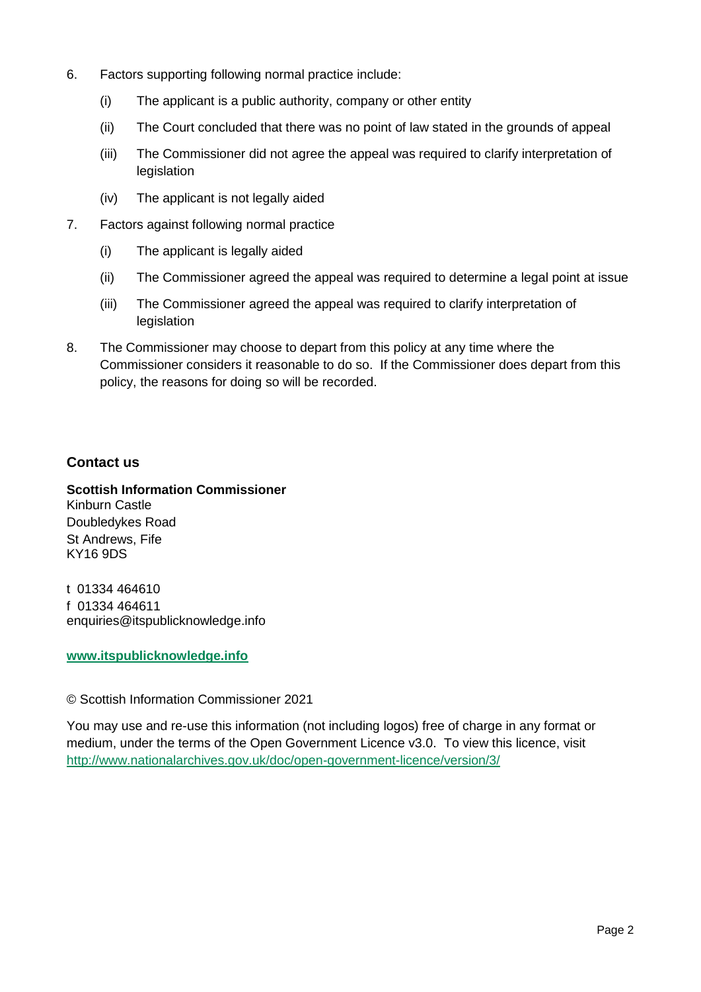- 6. Factors supporting following normal practice include:
	- (i) The applicant is a public authority, company or other entity
	- (ii) The Court concluded that there was no point of law stated in the grounds of appeal
	- (iii) The Commissioner did not agree the appeal was required to clarify interpretation of legislation
	- (iv) The applicant is not legally aided
- 7. Factors against following normal practice
	- (i) The applicant is legally aided
	- (ii) The Commissioner agreed the appeal was required to determine a legal point at issue
	- (iii) The Commissioner agreed the appeal was required to clarify interpretation of legislation
- 8. The Commissioner may choose to depart from this policy at any time where the Commissioner considers it reasonable to do so. If the Commissioner does depart from this policy, the reasons for doing so will be recorded.

#### **Contact us**

**Scottish Information Commissioner** Kinburn Castle Doubledykes Road St Andrews, Fife KY16 9DS

t 01334 464610 f 01334 464611 enquiries@itspublicknowledge.info

#### **[www.itspublicknowledge.info](http://www.itspublicknowledge.info/)**

© Scottish Information Commissioner 2021

You may use and re-use this information (not including logos) free of charge in any format or medium, under the terms of the Open Government Licence v3.0. To view this licence, visit <http://www.nationalarchives.gov.uk/doc/open-government-licence/version/3/>